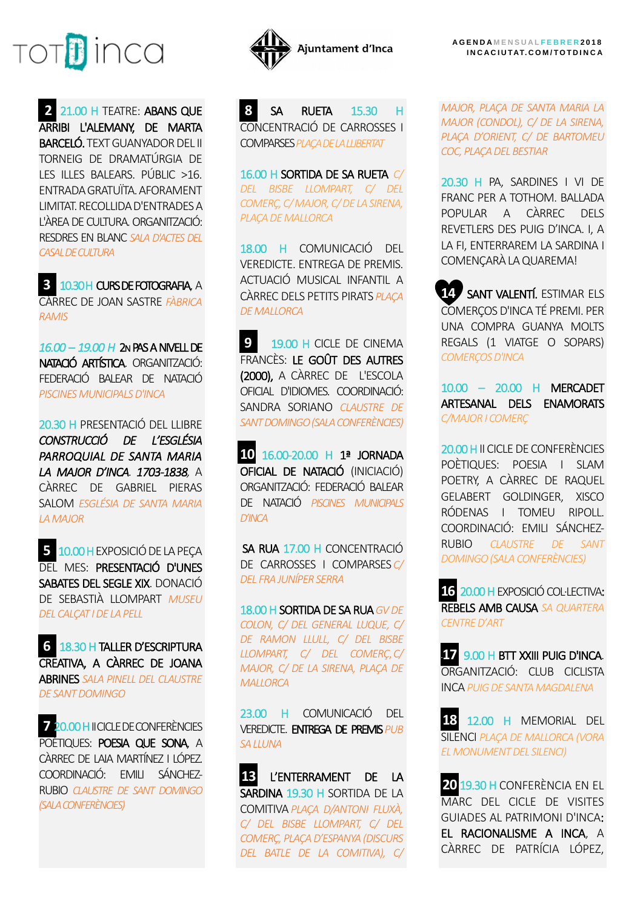

**2** 21.00 H TEATRE: ABANS QUE ARRIBI L'ALEMANY, DE MARTA BARCELÓ. TEXT GUANYADOR DEL II TORNEIG DE DRAMATÚRGIA DE LES ILLES BALEARS. PÚBLIC >16. ENTRADA GRATUÏTA. AFORAMENT LIMITAT. RECOLLIDA D'ENTRADES A L'ÀREA DE CULTURA. ORGANITZACIÓ: RESDRES EN BLANC *SALA D'ACTES DEL CASAL DE CULTURA*

**3** 10.30 H CURS DE FOTOGRAFIA, A CÀRREC DE JOAN SASTRE *FÀBRICA RAMIS*

*16.00 – 19.00 H* 2N PAS A NIVELL DE NATACIÓ ARTÍSTICA. ORGANITZACIÓ: FEDERACIÓ BALEAR DE NATACIÓ *PISCINES MUNICIPALS D'INCA*

20.30 H PRESENTACIÓ DEL LLIBRE *CONSTRUCCIÓ DE L'ESGLÉSIA PARROQUIAL DE SANTA MARIA LA MAJOR D'INCA. 1703-1838,* A CÀRREC DE GABRIEL PIERAS SALOM *ESGLÉSIA DE SANTA MARIA LA MAJOR*

**5** 10.00 HEXPOSICIÓ DE LA PEÇA DEL MES: PRESENTACIÓ D'UNES SABATES DEL SEGLE XIX. DONACIÓ DE SEBASTIÀ LLOMPART *MUSEU DEL CALÇAT I DE LA PELL*

**6** 18.30 H TALLER D'ESCRIPTURA CREATIVA, A CÀRREC DE JOANA ABRINES *SALA PINELL DEL CLAUSTRE DE SANT DOMINGO*

**7** 20.00 H II CICLE DE CONFERÈNCIES POÈTIQUES: POESIA QUE SONA, A CÀRREC DE LAIA MARTÍNEZ I LÓPEZ. COORDINACIÓ: EMILI SÁNCHEZ-RUBIO *CLAUSTRE DE SANT DOMINGO (SALA CONFERÈNCIES)*



**8** SA RUETA 15.30 H CONCENTRACIÓ DE CARROSSES I COMPARSES*PLAÇA DE LA LLIBERTAT*

16.00 H SORTIDA DE SA RUETA *C/ DEL BISBE LLOMPART, C/ DEL COMERÇ, C/ MAJOR, C/DE LA SIRENA, PLAÇA DE MALLORCA* 

18.00 H COMUNICACIÓ DEL VEREDICTE. ENTREGA DE PREMIS. ACTUACIÓ MUSICAL INFANTIL A CÀRREC DELS PETITS PIRATS *PLAÇA DE MALLORCA*

**9 19.00 H CICLE DE CINEMA** FRANCÈS: LE GOÛT DES AUTRES (2000), A CÀRREC DE L'ESCOLA OFICIAL D'IDIOMES. COORDINACIÓ: SANDRA SORIANO *CLAUSTRE DE SANT DOMINGO (SALA CONFERÈNCIES)*

**10** 16.00-20.00 H 1ª JORNADA OFICIAL DE NATACIÓ (INICIACIÓ) ORGANITZACIÓ: FEDERACIÓ BALEAR DE NATACIÓ *PISCINES MUNICIPALS D'INCA*

 SA RUA 17.00 H CONCENTRACIÓ DE CARROSSES I COMPARSES *C/ DEL FRA JUNÍPER SERRA*

18.00 H SORTIDA DE SA RUA*GV DE COLON, C/ DEL GENERAL LUQUE, C/ DE RAMON LLULL, C/ DEL BISBE LLOMPART, C/ DEL COMERÇ*,*C/ MAJOR, C/ DE LA SIRENA, PLAÇA DE MALLORCA*

23.00 H COMUNICACIÓ DEL VEREDICTE. ENTREGA DE PREMIS*PUB SA LLUNA*

**13** L'ENTERRAMENT DE LA SARDINA 19.30 H SORTIDA DE LA COMITIVA *PLAÇA D/ANTONI FLUXÀ, C/ DEL BISBE LLOMPART, C/ DEL COMERÇ, PLAÇA D'ESPANYA (DISCURS DEL BATLE DE LA COMITIVA), C/* 

*MAJOR, PLAÇA DE SANTA MARIA LA MAJOR (CONDOL), C/ DE LA SIRENA, PLAÇA D'ORIENT, C/ DE BARTOMEU COC, PLAÇA DEL BESTIAR* 

20.30 H PA, SARDINES I VI DE FRANC PER A TOTHOM. BALLADA POPULAR A CÀRREC DELS REVETLERS DES PUIG D'INCA. I, A LA FI, ENTERRAREM LA SARDINA I COMENÇARÀ LA QUAREMA!

**14** SANT VALENTÍ. ESTIMAR ELS COMERÇOS D'INCA TÉ PREMI. PER UNA COMPRA GUANYA MOLTS REGALS (1 VIATGE O SOPARS) *COMERÇOS D'INCA*

10.00 *–* 20.00 H MERCADET ARTESANAL DELS ENAMORATS *C/MAJOR I COMERÇ*

20.00 H II CICLE DE CONFERÈNCIES POÈTIQUES: POESIA I SLAM POETRY, A CÀRREC DE RAQUEL GELABERT GOLDINGER, XISCO RÓDENAS I TOMEU RIPOLL. COORDINACIÓ: EMILI SÁNCHEZ-RUBIO *CLAUSTRE DE SANT DOMINGO (SALA CONFERÈNCIES)*

**16** 20.00 HEXPOSICIÓ COL·LECTIVA: REBELS AMB CAUSA *SA QUARTERA CENTRE D'ART*

**17** 9.00 H BTT XXIII PUIG D'INCA. ORGANITZACIÓ: CLUB CICLISTA INCA *PUIG DE SANTA MAGDALENA*

**18** 12.00 H MEMORIAL DEL SILENCI *PLAÇA DE MALLORCA (VORA EL MONUMENT DEL SILENCI)*

**20** 19.30 H CONFERÈNCIA EN EL MARC DEL CICLE DE VISITES GUIADES AL PATRIMONI D'INCA: EL RACIONALISME A INCA, A CÀRREC DE PATRÍCIA LÓPEZ,